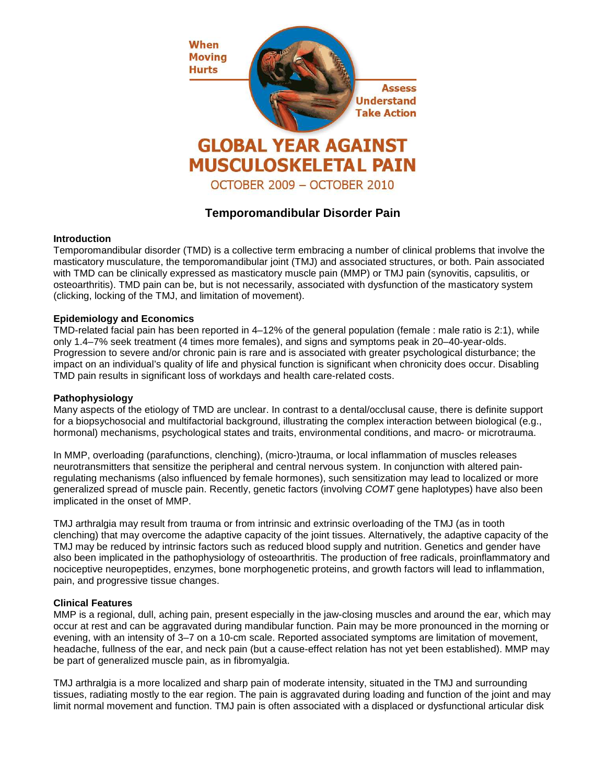

# **Temporomandibular Disorder Pain**

#### **Introduction**

Temporomandibular disorder (TMD) is a collective term embracing a number of clinical problems that involve the masticatory musculature, the temporomandibular joint (TMJ) and associated structures, or both. Pain associated with TMD can be clinically expressed as masticatory muscle pain (MMP) or TMJ pain (synovitis, capsulitis, or osteoarthritis). TMD pain can be, but is not necessarily, associated with dysfunction of the masticatory system (clicking, locking of the TMJ, and limitation of movement).

### **Epidemiology and Economics**

TMD-related facial pain has been reported in 4–12% of the general population (female : male ratio is 2:1), while only 1.4–7% seek treatment (4 times more females), and signs and symptoms peak in 20–40-year-olds. Progression to severe and/or chronic pain is rare and is associated with greater psychological disturbance; the impact on an individual's quality of life and physical function is significant when chronicity does occur. Disabling TMD pain results in significant loss of workdays and health care-related costs.

#### **Pathophysiology**

Many aspects of the etiology of TMD are unclear. In contrast to a dental/occlusal cause, there is definite support for a biopsychosocial and multifactorial background, illustrating the complex interaction between biological (e.g., hormonal) mechanisms, psychological states and traits, environmental conditions, and macro- or microtrauma.

In MMP, overloading (parafunctions, clenching), (micro-)trauma, or local inflammation of muscles releases neurotransmitters that sensitize the peripheral and central nervous system. In conjunction with altered painregulating mechanisms (also influenced by female hormones), such sensitization may lead to localized or more generalized spread of muscle pain. Recently, genetic factors (involving COMT gene haplotypes) have also been implicated in the onset of MMP.

TMJ arthralgia may result from trauma or from intrinsic and extrinsic overloading of the TMJ (as in tooth clenching) that may overcome the adaptive capacity of the joint tissues. Alternatively, the adaptive capacity of the TMJ may be reduced by intrinsic factors such as reduced blood supply and nutrition. Genetics and gender have also been implicated in the pathophysiology of osteoarthritis. The production of free radicals, proinflammatory and nociceptive neuropeptides, enzymes, bone morphogenetic proteins, and growth factors will lead to inflammation, pain, and progressive tissue changes.

#### **Clinical Features**

MMP is a regional, dull, aching pain, present especially in the jaw-closing muscles and around the ear, which may occur at rest and can be aggravated during mandibular function. Pain may be more pronounced in the morning or evening, with an intensity of 3–7 on a 10-cm scale. Reported associated symptoms are limitation of movement, headache, fullness of the ear, and neck pain (but a cause-effect relation has not yet been established). MMP may be part of generalized muscle pain, as in fibromyalgia.

TMJ arthralgia is a more localized and sharp pain of moderate intensity, situated in the TMJ and surrounding tissues, radiating mostly to the ear region. The pain is aggravated during loading and function of the joint and may limit normal movement and function. TMJ pain is often associated with a displaced or dysfunctional articular disk